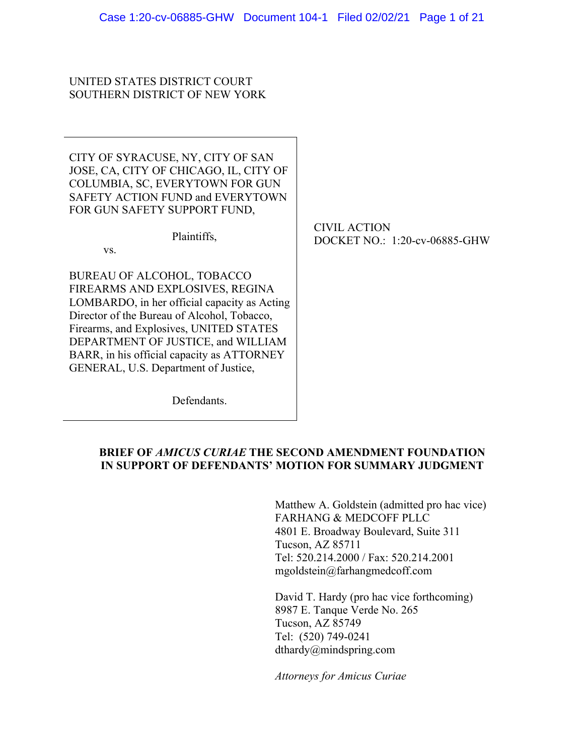## UNITED STATES DISTRICT COURT SOUTHERN DISTRICT OF NEW YORK

CITY OF SYRACUSE, NY, CITY OF SAN JOSE, CA, CITY OF CHICAGO, IL, CITY OF COLUMBIA, SC, EVERYTOWN FOR GUN SAFETY ACTION FUND and EVERYTOWN FOR GUN SAFETY SUPPORT FUND,

Plaintiffs,

vs.

BUREAU OF ALCOHOL, TOBACCO FIREARMS AND EXPLOSIVES, REGINA LOMBARDO, in her official capacity as Acting Director of the Bureau of Alcohol, Tobacco, Firearms, and Explosives, UNITED STATES DEPARTMENT OF JUSTICE, and WILLIAM BARR, in his official capacity as ATTORNEY GENERAL, U.S. Department of Justice,

CIVIL ACTION DOCKET NO.: 1:20-cv-06885-GHW

**Defendants** 

## **BRIEF OF** *AMICUS CURIAE* **THE SECOND AMENDMENT FOUNDATION IN SUPPORT OF DEFENDANTS' MOTION FOR SUMMARY JUDGMENT**

Matthew A. Goldstein (admitted pro hac vice) FARHANG & MEDCOFF PLLC 4801 E. Broadway Boulevard, Suite 311 Tucson, AZ 85711 Tel: 520.214.2000 / Fax: 520.214.2001 mgoldstein@farhangmedcoff.com

David T. Hardy (pro hac vice forthcoming) 8987 E. Tanque Verde No. 265 Tucson, AZ 85749 Tel: (520) 749-0241 dthardy@mindspring.com

*Attorneys for Amicus Curiae*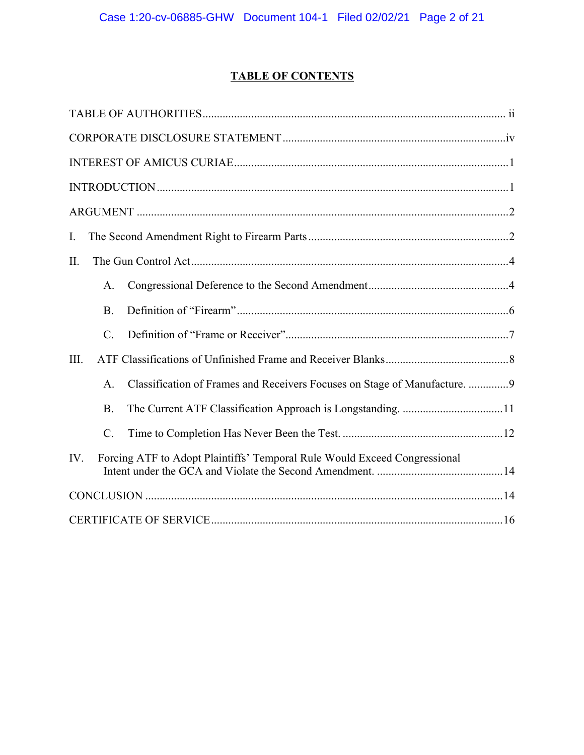# **TABLE OF CONTENTS**

| I.   |                                                                           |                                                                            |  |  |  |
|------|---------------------------------------------------------------------------|----------------------------------------------------------------------------|--|--|--|
| II.  |                                                                           |                                                                            |  |  |  |
|      | A.                                                                        |                                                                            |  |  |  |
|      | <b>B.</b>                                                                 |                                                                            |  |  |  |
|      | $\mathcal{C}$ .                                                           |                                                                            |  |  |  |
| III. |                                                                           |                                                                            |  |  |  |
|      | $\mathsf{A}$                                                              | Classification of Frames and Receivers Focuses on Stage of Manufacture.  9 |  |  |  |
|      | <b>B.</b>                                                                 |                                                                            |  |  |  |
|      | C.                                                                        |                                                                            |  |  |  |
| IV.  | Forcing ATF to Adopt Plaintiffs' Temporal Rule Would Exceed Congressional |                                                                            |  |  |  |
|      |                                                                           |                                                                            |  |  |  |
|      |                                                                           |                                                                            |  |  |  |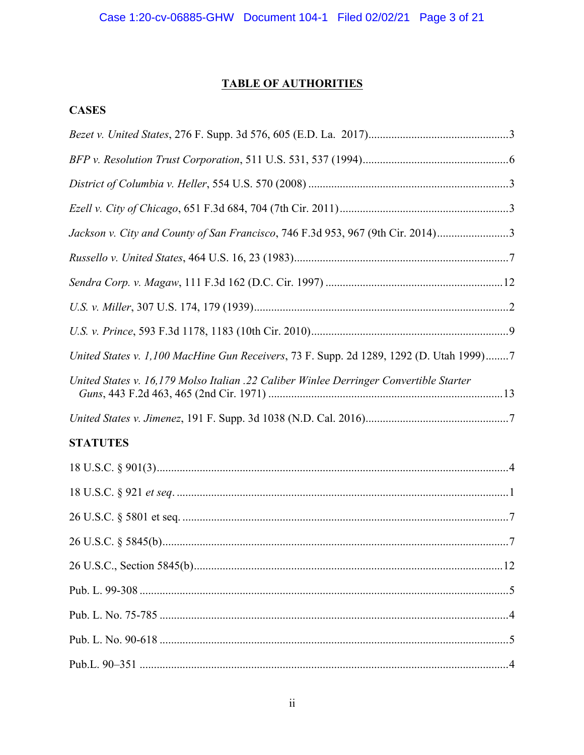# **TABLE OF AUTHORITIES**

# **CASES**

| Jackson v. City and County of San Francisco, 746 F.3d 953, 967 (9th Cir. 2014)3         |  |
|-----------------------------------------------------------------------------------------|--|
|                                                                                         |  |
|                                                                                         |  |
|                                                                                         |  |
|                                                                                         |  |
| United States v. 1,100 MacHine Gun Receivers, 73 F. Supp. 2d 1289, 1292 (D. Utah 1999)7 |  |
| United States v. 16,179 Molso Italian .22 Caliber Winlee Derringer Convertible Starter  |  |
|                                                                                         |  |
| <b>STATUTES</b>                                                                         |  |
|                                                                                         |  |
|                                                                                         |  |
|                                                                                         |  |
|                                                                                         |  |
|                                                                                         |  |
|                                                                                         |  |
|                                                                                         |  |
|                                                                                         |  |
|                                                                                         |  |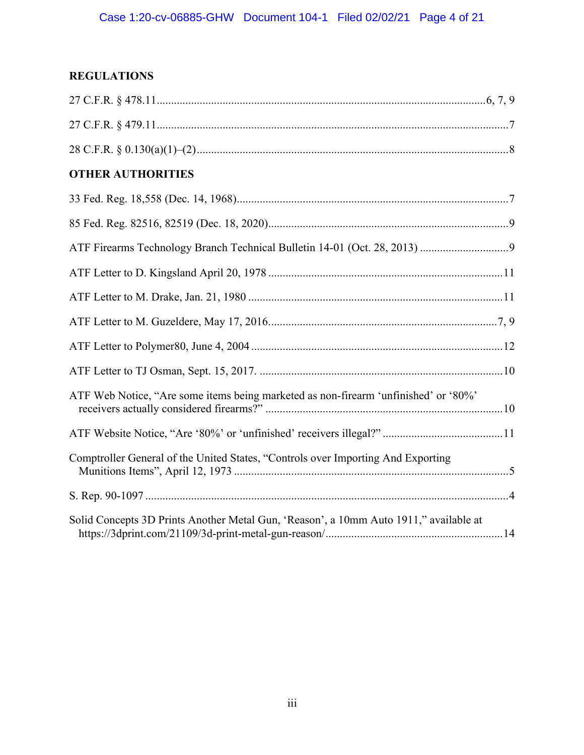# **REGULATIONS**

| <b>OTHER AUTHORITIES</b>                                                              |  |
|---------------------------------------------------------------------------------------|--|
|                                                                                       |  |
|                                                                                       |  |
|                                                                                       |  |
|                                                                                       |  |
|                                                                                       |  |
|                                                                                       |  |
|                                                                                       |  |
|                                                                                       |  |
| ATF Web Notice, "Are some items being marketed as non-firearm 'unfinished' or '80%'   |  |
|                                                                                       |  |
| Comptroller General of the United States, "Controls over Importing And Exporting      |  |
|                                                                                       |  |
| Solid Concepts 3D Prints Another Metal Gun, 'Reason', a 10mm Auto 1911," available at |  |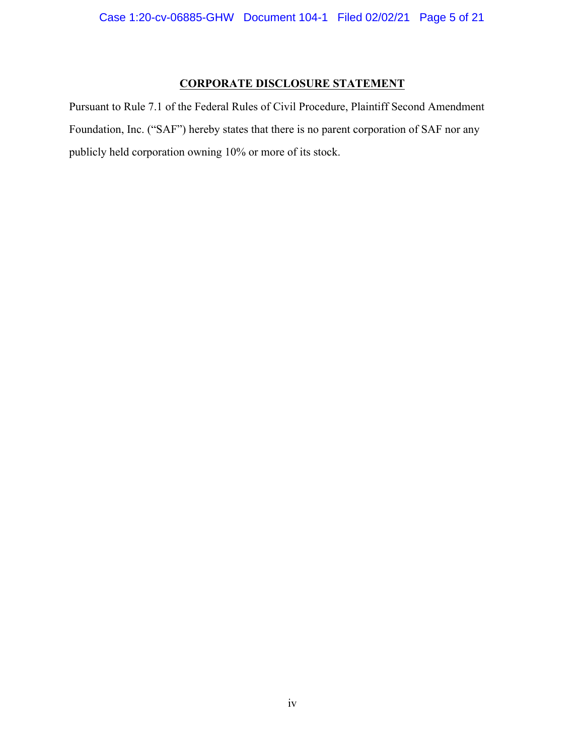## **CORPORATE DISCLOSURE STATEMENT**

Pursuant to Rule 7.1 of the Federal Rules of Civil Procedure, Plaintiff Second Amendment Foundation, Inc. ("SAF") hereby states that there is no parent corporation of SAF nor any publicly held corporation owning 10% or more of its stock.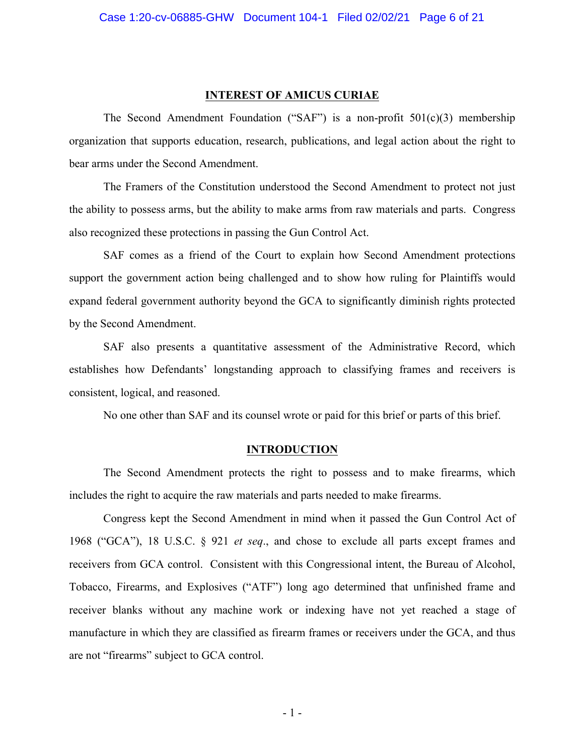#### **INTEREST OF AMICUS CURIAE**

The Second Amendment Foundation ("SAF") is a non-profit  $501(c)(3)$  membership organization that supports education, research, publications, and legal action about the right to bear arms under the Second Amendment.

The Framers of the Constitution understood the Second Amendment to protect not just the ability to possess arms, but the ability to make arms from raw materials and parts. Congress also recognized these protections in passing the Gun Control Act.

SAF comes as a friend of the Court to explain how Second Amendment protections support the government action being challenged and to show how ruling for Plaintiffs would expand federal government authority beyond the GCA to significantly diminish rights protected by the Second Amendment.

SAF also presents a quantitative assessment of the Administrative Record, which establishes how Defendants' longstanding approach to classifying frames and receivers is consistent, logical, and reasoned.

No one other than SAF and its counsel wrote or paid for this brief or parts of this brief.

#### **INTRODUCTION**

The Second Amendment protects the right to possess and to make firearms, which includes the right to acquire the raw materials and parts needed to make firearms.

Congress kept the Second Amendment in mind when it passed the Gun Control Act of 1968 ("GCA"), 18 U.S.C. § 921 *et seq*., and chose to exclude all parts except frames and receivers from GCA control. Consistent with this Congressional intent, the Bureau of Alcohol, Tobacco, Firearms, and Explosives ("ATF") long ago determined that unfinished frame and receiver blanks without any machine work or indexing have not yet reached a stage of manufacture in which they are classified as firearm frames or receivers under the GCA, and thus are not "firearms" subject to GCA control.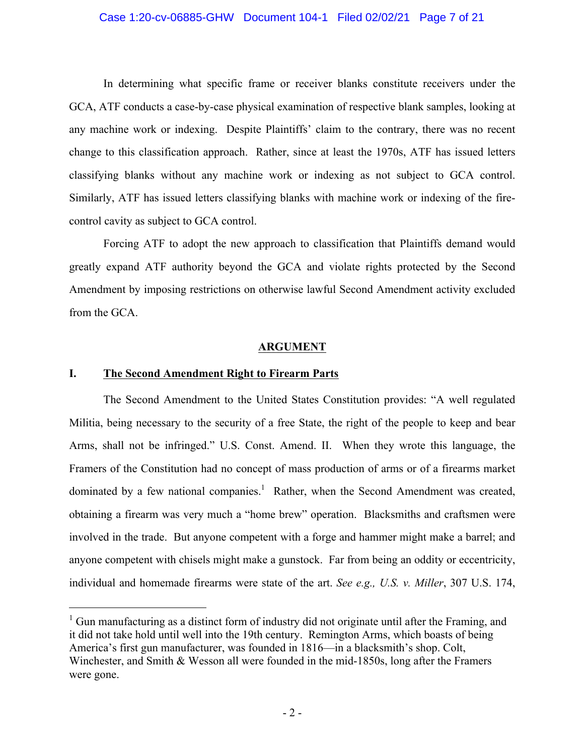#### Case 1:20-cv-06885-GHW Document 104-1 Filed 02/02/21 Page 7 of 21

In determining what specific frame or receiver blanks constitute receivers under the GCA, ATF conducts a case-by-case physical examination of respective blank samples, looking at any machine work or indexing. Despite Plaintiffs' claim to the contrary, there was no recent change to this classification approach. Rather, since at least the 1970s, ATF has issued letters classifying blanks without any machine work or indexing as not subject to GCA control. Similarly, ATF has issued letters classifying blanks with machine work or indexing of the firecontrol cavity as subject to GCA control.

Forcing ATF to adopt the new approach to classification that Plaintiffs demand would greatly expand ATF authority beyond the GCA and violate rights protected by the Second Amendment by imposing restrictions on otherwise lawful Second Amendment activity excluded from the GCA.

#### **ARGUMENT**

#### **I. The Second Amendment Right to Firearm Parts**

 $\overline{a}$ 

The Second Amendment to the United States Constitution provides: "A well regulated Militia, being necessary to the security of a free State, the right of the people to keep and bear Arms, shall not be infringed." U.S. Const. Amend. II. When they wrote this language, the Framers of the Constitution had no concept of mass production of arms or of a firearms market dominated by a few national companies.<sup>1</sup> Rather, when the Second Amendment was created, obtaining a firearm was very much a "home brew" operation. Blacksmiths and craftsmen were involved in the trade. But anyone competent with a forge and hammer might make a barrel; and anyone competent with chisels might make a gunstock. Far from being an oddity or eccentricity, individual and homemade firearms were state of the art. *See e.g., U.S. v. Miller*, 307 U.S. 174,

 $1$  Gun manufacturing as a distinct form of industry did not originate until after the Framing, and it did not take hold until well into the 19th century. Remington Arms, which boasts of being America's first gun manufacturer, was founded in 1816—in a blacksmith's shop. Colt, Winchester, and Smith & Wesson all were founded in the mid-1850s, long after the Framers were gone.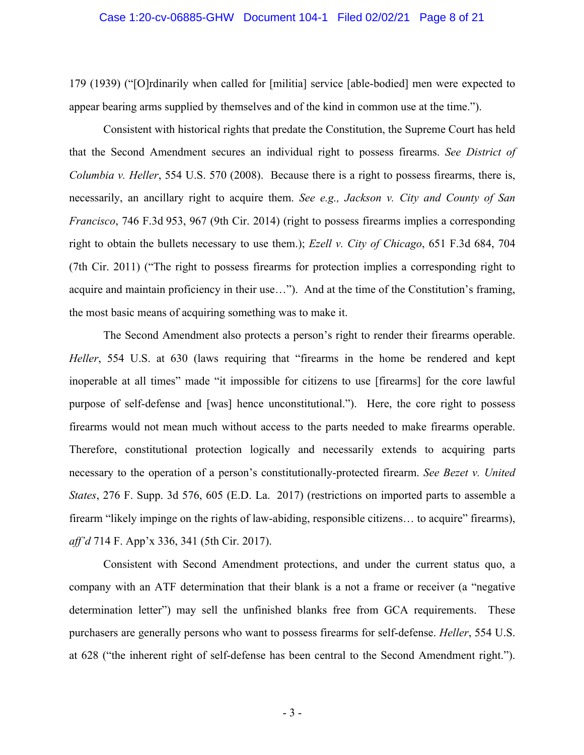#### Case 1:20-cv-06885-GHW Document 104-1 Filed 02/02/21 Page 8 of 21

179 (1939) ("[O]rdinarily when called for [militia] service [able-bodied] men were expected to appear bearing arms supplied by themselves and of the kind in common use at the time.").

Consistent with historical rights that predate the Constitution, the Supreme Court has held that the Second Amendment secures an individual right to possess firearms. *See District of Columbia v. Heller*, 554 U.S. 570 (2008). Because there is a right to possess firearms, there is, necessarily, an ancillary right to acquire them. *See e.g., Jackson v. City and County of San Francisco*, 746 F.3d 953, 967 (9th Cir. 2014) (right to possess firearms implies a corresponding right to obtain the bullets necessary to use them.); *Ezell v. City of Chicago*, 651 F.3d 684, 704 (7th Cir. 2011) ("The right to possess firearms for protection implies a corresponding right to acquire and maintain proficiency in their use…"). And at the time of the Constitution's framing, the most basic means of acquiring something was to make it.

The Second Amendment also protects a person's right to render their firearms operable. *Heller*, 554 U.S. at 630 (laws requiring that "firearms in the home be rendered and kept inoperable at all times" made "it impossible for citizens to use [firearms] for the core lawful purpose of self-defense and [was] hence unconstitutional."). Here, the core right to possess firearms would not mean much without access to the parts needed to make firearms operable. Therefore, constitutional protection logically and necessarily extends to acquiring parts necessary to the operation of a person's constitutionally-protected firearm. *See Bezet v. United States*, 276 F. Supp. 3d 576, 605 (E.D. La. 2017) (restrictions on imported parts to assemble a firearm "likely impinge on the rights of law-abiding, responsible citizens… to acquire" firearms), *aff'd* 714 F. App'x 336, 341 (5th Cir. 2017).

Consistent with Second Amendment protections, and under the current status quo, a company with an ATF determination that their blank is a not a frame or receiver (a "negative determination letter") may sell the unfinished blanks free from GCA requirements. These purchasers are generally persons who want to possess firearms for self-defense. *Heller*, 554 U.S. at 628 ("the inherent right of self-defense has been central to the Second Amendment right.").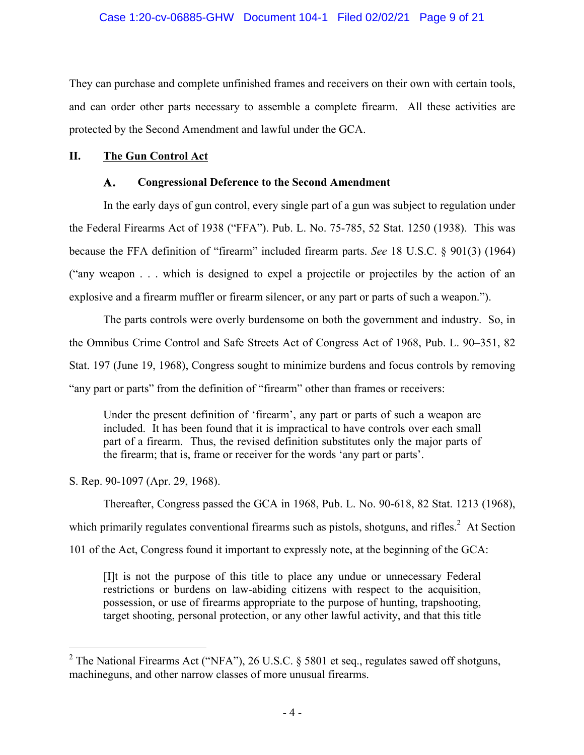They can purchase and complete unfinished frames and receivers on their own with certain tools, and can order other parts necessary to assemble a complete firearm. All these activities are protected by the Second Amendment and lawful under the GCA.

### **II. The Gun Control Act**

## **A. Congressional Deference to the Second Amendment**

In the early days of gun control, every single part of a gun was subject to regulation under the Federal Firearms Act of 1938 ("FFA"). Pub. L. No. 75-785, 52 Stat. 1250 (1938). This was because the FFA definition of "firearm" included firearm parts. *See* 18 U.S.C. § 901(3) (1964) ("any weapon . . . which is designed to expel a projectile or projectiles by the action of an explosive and a firearm muffler or firearm silencer, or any part or parts of such a weapon.").

The parts controls were overly burdensome on both the government and industry. So, in the Omnibus Crime Control and Safe Streets Act of Congress Act of 1968, Pub. L. 90–351, 82 Stat. 197 (June 19, 1968), Congress sought to minimize burdens and focus controls by removing "any part or parts" from the definition of "firearm" other than frames or receivers:

Under the present definition of 'firearm', any part or parts of such a weapon are included. It has been found that it is impractical to have controls over each small part of a firearm. Thus, the revised definition substitutes only the major parts of the firearm; that is, frame or receiver for the words 'any part or parts'.

S. Rep. 90-1097 (Apr. 29, 1968).

 $\overline{\phantom{a}}$ 

Thereafter, Congress passed the GCA in 1968, Pub. L. No. 90-618, 82 Stat. 1213 (1968), which primarily regulates conventional firearms such as pistols, shotguns, and rifles.<sup>2</sup> At Section 101 of the Act, Congress found it important to expressly note, at the beginning of the GCA:

[I]t is not the purpose of this title to place any undue or unnecessary Federal restrictions or burdens on law-abiding citizens with respect to the acquisition, possession, or use of firearms appropriate to the purpose of hunting, trapshooting, target shooting, personal protection, or any other lawful activity, and that this title

<sup>&</sup>lt;sup>2</sup> The National Firearms Act ("NFA"), 26 U.S.C. § 5801 et seq., regulates sawed off shotguns, machineguns, and other narrow classes of more unusual firearms.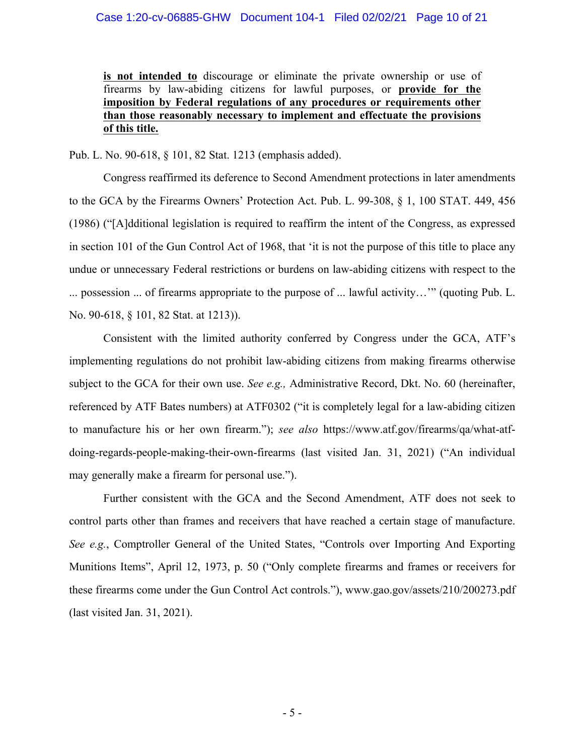**is not intended to** discourage or eliminate the private ownership or use of firearms by law-abiding citizens for lawful purposes, or **provide for the imposition by Federal regulations of any procedures or requirements other than those reasonably necessary to implement and effectuate the provisions of this title.**

Pub. L. No. 90-618, § 101, 82 Stat. 1213 (emphasis added).

Congress reaffirmed its deference to Second Amendment protections in later amendments to the GCA by the Firearms Owners' Protection Act. Pub. L. 99-308, § 1, 100 STAT. 449, 456 (1986) ("[A]dditional legislation is required to reaffirm the intent of the Congress, as expressed in section 101 of the Gun Control Act of 1968, that 'it is not the purpose of this title to place any undue or unnecessary Federal restrictions or burdens on law-abiding citizens with respect to the ... possession ... of firearms appropriate to the purpose of ... lawful activity…'" (quoting Pub. L. No. 90-618, § 101, 82 Stat. at 1213)).

Consistent with the limited authority conferred by Congress under the GCA, ATF's implementing regulations do not prohibit law-abiding citizens from making firearms otherwise subject to the GCA for their own use. *See e.g.,* Administrative Record, Dkt. No. 60 (hereinafter, referenced by ATF Bates numbers) at ATF0302 ("it is completely legal for a law-abiding citizen to manufacture his or her own firearm."); *see also* https://www.atf.gov/firearms/qa/what-atfdoing-regards-people-making-their-own-firearms (last visited Jan. 31, 2021) ("An individual may generally make a firearm for personal use.").

Further consistent with the GCA and the Second Amendment, ATF does not seek to control parts other than frames and receivers that have reached a certain stage of manufacture. *See e.g.*, Comptroller General of the United States, "Controls over Importing And Exporting Munitions Items", April 12, 1973, p. 50 ("Only complete firearms and frames or receivers for these firearms come under the Gun Control Act controls."), www.gao.gov/assets/210/200273.pdf (last visited Jan. 31, 2021).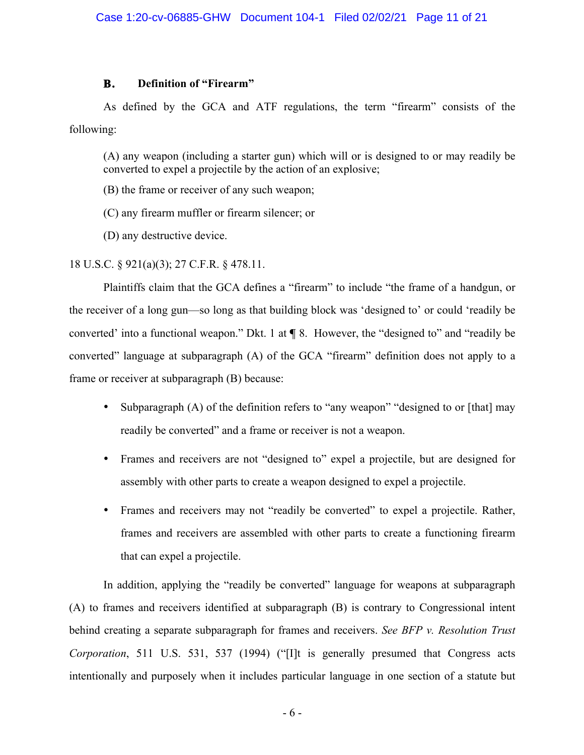## **B. Definition of "Firearm"**

As defined by the GCA and ATF regulations, the term "firearm" consists of the following:

(A) any weapon (including a starter gun) which will or is designed to or may readily be converted to expel a projectile by the action of an explosive;

(B) the frame or receiver of any such weapon;

(C) any firearm muffler or firearm silencer; or

(D) any destructive device.

18 U.S.C. § 921(a)(3); 27 C.F.R. § 478.11.

Plaintiffs claim that the GCA defines a "firearm" to include "the frame of a handgun, or the receiver of a long gun—so long as that building block was 'designed to' or could 'readily be converted' into a functional weapon." Dkt. 1 at **¶** 8. However, the "designed to" and "readily be converted" language at subparagraph (A) of the GCA "firearm" definition does not apply to a frame or receiver at subparagraph (B) because:

- Subparagraph (A) of the definition refers to "any weapon" "designed to or [that] may readily be converted" and a frame or receiver is not a weapon.
- Frames and receivers are not "designed to" expel a projectile, but are designed for assembly with other parts to create a weapon designed to expel a projectile.
- Frames and receivers may not "readily be converted" to expel a projectile. Rather, frames and receivers are assembled with other parts to create a functioning firearm that can expel a projectile.

In addition, applying the "readily be converted" language for weapons at subparagraph (A) to frames and receivers identified at subparagraph (B) is contrary to Congressional intent behind creating a separate subparagraph for frames and receivers. *See BFP v. Resolution Trust Corporation*, 511 U.S. 531, 537 (1994) ("[I]t is generally presumed that Congress acts intentionally and purposely when it includes particular language in one section of a statute but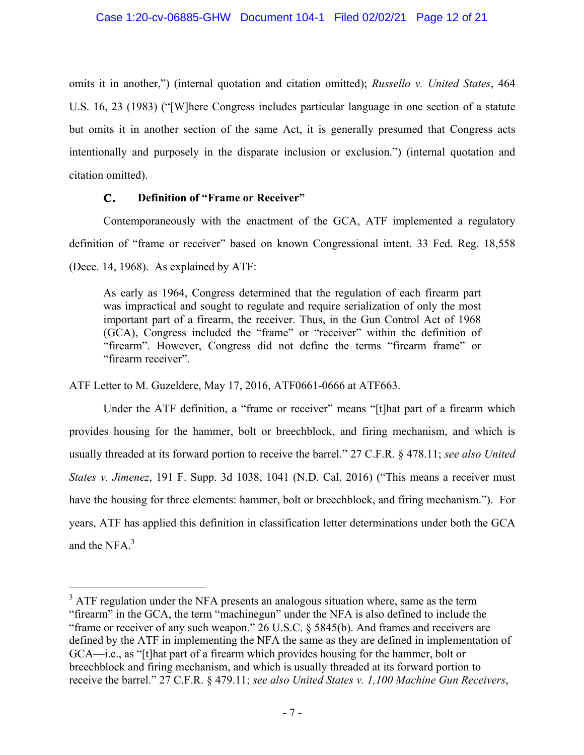omits it in another,") (internal quotation and citation omitted); *Russello v. United States*, 464 U.S. 16, 23 (1983) ("[W]here Congress includes particular language in one section of a statute but omits it in another section of the same Act, it is generally presumed that Congress acts intentionally and purposely in the disparate inclusion or exclusion.") (internal quotation and citation omitted).

## **C. Definition of "Frame or Receiver"**

Contemporaneously with the enactment of the GCA, ATF implemented a regulatory definition of "frame or receiver" based on known Congressional intent. 33 Fed. Reg. 18,558 (Dece. 14, 1968). As explained by ATF:

As early as 1964, Congress determined that the regulation of each firearm part was impractical and sought to regulate and require serialization of only the most important part of a firearm, the receiver. Thus, in the Gun Control Act of 1968 (GCA), Congress included the "frame" or "receiver" within the definition of "firearm". However, Congress did not define the terms "firearm frame" or "firearm receiver".

ATF Letter to M. Guzeldere, May 17, 2016, ATF0661-0666 at ATF663.

 $\overline{a}$ 

Under the ATF definition, a "frame or receiver" means "[t]hat part of a firearm which provides housing for the hammer, bolt or breechblock, and firing mechanism, and which is usually threaded at its forward portion to receive the barrel." 27 C.F.R. § 478.11; *see also United States v. Jimenez*, 191 F. Supp. 3d 1038, 1041 (N.D. Cal. 2016) ("This means a receiver must have the housing for three elements: hammer, bolt or breechblock, and firing mechanism."). For years, ATF has applied this definition in classification letter determinations under both the GCA and the NFA. 3

 $3$  ATF regulation under the NFA presents an analogous situation where, same as the term "firearm" in the GCA, the term "machinegun" under the NFA is also defined to include the "frame or receiver of any such weapon." 26 U.S.C. § 5845(b). And frames and receivers are defined by the ATF in implementing the NFA the same as they are defined in implementation of GCA—i.e., as "[t]hat part of a firearm which provides housing for the hammer, bolt or breechblock and firing mechanism, and which is usually threaded at its forward portion to receive the barrel." 27 C.F.R. § 479.11; *see also United States v. 1,100 Machine Gun Receivers*,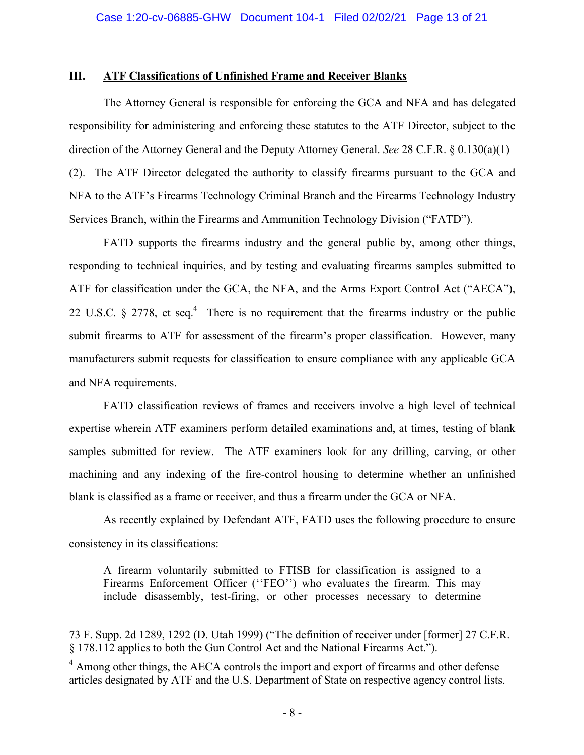#### **III. ATF Classifications of Unfinished Frame and Receiver Blanks**

The Attorney General is responsible for enforcing the GCA and NFA and has delegated responsibility for administering and enforcing these statutes to the ATF Director, subject to the direction of the Attorney General and the Deputy Attorney General. *See* 28 C.F.R. § 0.130(a)(1)– (2). The ATF Director delegated the authority to classify firearms pursuant to the GCA and NFA to the ATF's Firearms Technology Criminal Branch and the Firearms Technology Industry Services Branch, within the Firearms and Ammunition Technology Division ("FATD").

FATD supports the firearms industry and the general public by, among other things, responding to technical inquiries, and by testing and evaluating firearms samples submitted to ATF for classification under the GCA, the NFA, and the Arms Export Control Act ("AECA"), 22 U.S.C.  $\S$  2778, et seq.<sup>4</sup> There is no requirement that the firearms industry or the public submit firearms to ATF for assessment of the firearm's proper classification. However, many manufacturers submit requests for classification to ensure compliance with any applicable GCA and NFA requirements.

FATD classification reviews of frames and receivers involve a high level of technical expertise wherein ATF examiners perform detailed examinations and, at times, testing of blank samples submitted for review. The ATF examiners look for any drilling, carving, or other machining and any indexing of the fire-control housing to determine whether an unfinished blank is classified as a frame or receiver, and thus a firearm under the GCA or NFA.

As recently explained by Defendant ATF, FATD uses the following procedure to ensure consistency in its classifications:

A firearm voluntarily submitted to FTISB for classification is assigned to a Firearms Enforcement Officer ("FEO") who evaluates the firearm. This may include disassembly, test-firing, or other processes necessary to determine

 $\overline{a}$ 

<sup>73</sup> F. Supp. 2d 1289, 1292 (D. Utah 1999) ("The definition of receiver under [former] 27 C.F.R. § 178.112 applies to both the Gun Control Act and the National Firearms Act.").

 $4 \text{ Among other things, the AECA controls the import and export of firearms and other defense.}$ articles designated by ATF and the U.S. Department of State on respective agency control lists.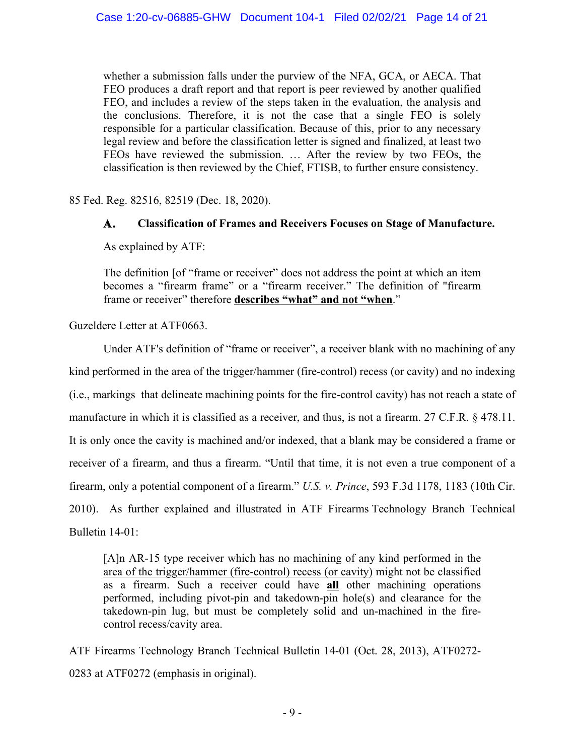whether a submission falls under the purview of the NFA, GCA, or AECA. That FEO produces a draft report and that report is peer reviewed by another qualified FEO, and includes a review of the steps taken in the evaluation, the analysis and the conclusions. Therefore, it is not the case that a single FEO is solely responsible for a particular classification. Because of this, prior to any necessary legal review and before the classification letter is signed and finalized, at least two FEOs have reviewed the submission. … After the review by two FEOs, the classification is then reviewed by the Chief, FTISB, to further ensure consistency.

85 Fed. Reg. 82516, 82519 (Dec. 18, 2020).

## **A. Classification of Frames and Receivers Focuses on Stage of Manufacture.**

As explained by ATF:

The definition [of "frame or receiver" does not address the point at which an item becomes a "firearm frame" or a "firearm receiver." The definition of "firearm frame or receiver" therefore **describes "what" and not "when**."

Guzeldere Letter at ATF0663.

Under ATF's definition of "frame or receiver", a receiver blank with no machining of any kind performed in the area of the trigger/hammer (fire-control) recess (or cavity) and no indexing (i.e., markings that delineate machining points for the fire-control cavity) has not reach a state of manufacture in which it is classified as a receiver, and thus, is not a firearm. 27 C.F.R. § 478.11. It is only once the cavity is machined and/or indexed, that a blank may be considered a frame or receiver of a firearm, and thus a firearm. "Until that time, it is not even a true component of a firearm, only a potential component of a firearm." *U.S. v. Prince*, 593 F.3d 1178, 1183 (10th Cir. 2010). As further explained and illustrated in ATF Firearms Technology Branch Technical Bulletin 14-01:

[A]n AR-15 type receiver which has no machining of any kind performed in the area of the trigger/hammer (fire-control) recess (or cavity) might not be classified as a firearm. Such a receiver could have **all** other machining operations performed, including pivot-pin and takedown-pin hole(s) and clearance for the takedown-pin lug, but must be completely solid and un-machined in the firecontrol recess/cavity area.

ATF Firearms Technology Branch Technical Bulletin 14-01 (Oct. 28, 2013), ATF0272- 0283 at ATF0272 (emphasis in original).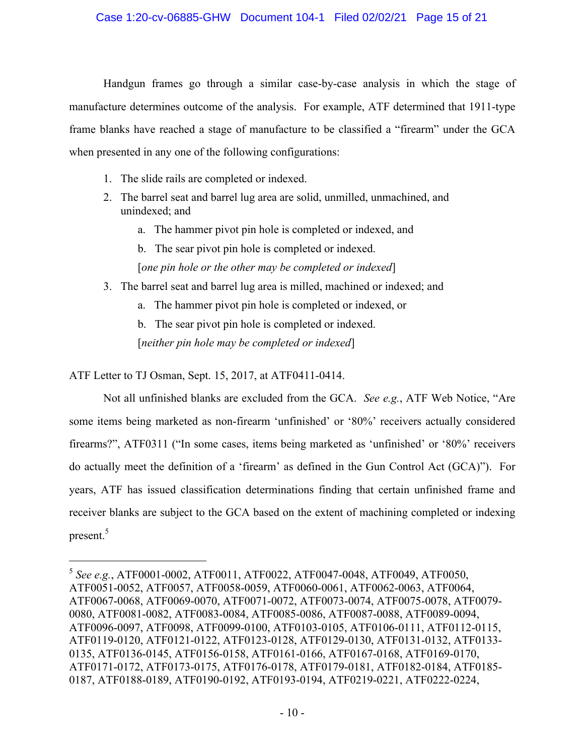Handgun frames go through a similar case-by-case analysis in which the stage of manufacture determines outcome of the analysis. For example, ATF determined that 1911-type frame blanks have reached a stage of manufacture to be classified a "firearm" under the GCA when presented in any one of the following configurations:

- 1. The slide rails are completed or indexed.
- 2. The barrel seat and barrel lug area are solid, unmilled, unmachined, and unindexed; and
	- a. The hammer pivot pin hole is completed or indexed, and
	- b. The sear pivot pin hole is completed or indexed.
	- [*one pin hole or the other may be completed or indexed*]
- 3. The barrel seat and barrel lug area is milled, machined or indexed; and
	- a. The hammer pivot pin hole is completed or indexed, or

b. The sear pivot pin hole is completed or indexed. [*neither pin hole may be completed or indexed*]

ATF Letter to TJ Osman, Sept. 15, 2017, at ATF0411-0414.

 $\overline{a}$ 

Not all unfinished blanks are excluded from the GCA. *See e.g.*, ATF Web Notice, "Are some items being marketed as non-firearm 'unfinished' or '80%' receivers actually considered firearms?", ATF0311 ("In some cases, items being marketed as 'unfinished' or '80%' receivers do actually meet the definition of a 'firearm' as defined in the Gun Control Act (GCA)"). For years, ATF has issued classification determinations finding that certain unfinished frame and receiver blanks are subject to the GCA based on the extent of machining completed or indexing present. 5

<sup>5</sup> *See e.g.*, ATF0001-0002, ATF0011, ATF0022, ATF0047-0048, ATF0049, ATF0050, ATF0051-0052, ATF0057, ATF0058-0059, ATF0060-0061, ATF0062-0063, ATF0064, ATF0067-0068, ATF0069-0070, ATF0071-0072, ATF0073-0074, ATF0075-0078, ATF0079- 0080, ATF0081-0082, ATF0083-0084, ATF0085-0086, ATF0087-0088, ATF0089-0094, ATF0096-0097, ATF0098, ATF0099-0100, ATF0103-0105, ATF0106-0111, ATF0112-0115, ATF0119-0120, ATF0121-0122, ATF0123-0128, ATF0129-0130, ATF0131-0132, ATF0133- 0135, ATF0136-0145, ATF0156-0158, ATF0161-0166, ATF0167-0168, ATF0169-0170, ATF0171-0172, ATF0173-0175, ATF0176-0178, ATF0179-0181, ATF0182-0184, ATF0185- 0187, ATF0188-0189, ATF0190-0192, ATF0193-0194, ATF0219-0221, ATF0222-0224,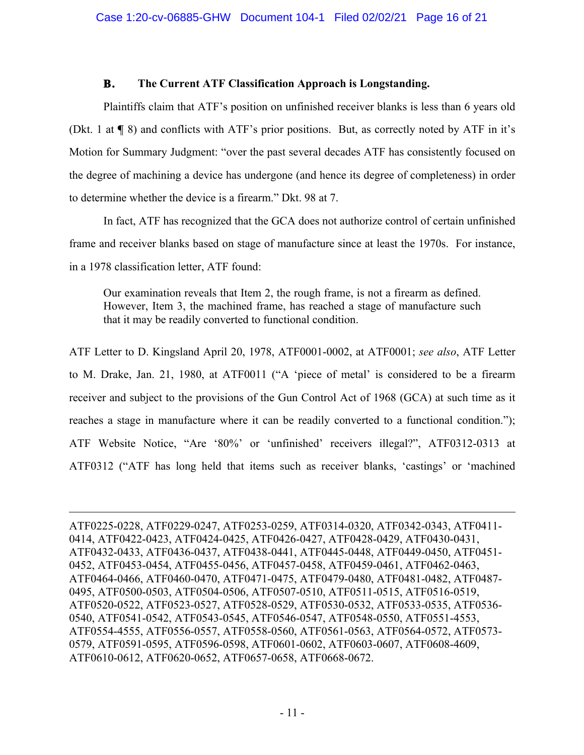## **B. The Current ATF Classification Approach is Longstanding.**

Plaintiffs claim that ATF's position on unfinished receiver blanks is less than 6 years old (Dkt. 1 at **¶** 8) and conflicts with ATF's prior positions. But, as correctly noted by ATF in it's Motion for Summary Judgment: "over the past several decades ATF has consistently focused on the degree of machining a device has undergone (and hence its degree of completeness) in order to determine whether the device is a firearm." Dkt. 98 at 7.

In fact, ATF has recognized that the GCA does not authorize control of certain unfinished frame and receiver blanks based on stage of manufacture since at least the 1970s. For instance, in a 1978 classification letter, ATF found:

Our examination reveals that Item 2, the rough frame, is not a firearm as defined. However, Item 3, the machined frame, has reached a stage of manufacture such that it may be readily converted to functional condition.

ATF Letter to D. Kingsland April 20, 1978, ATF0001-0002, at ATF0001; *see also*, ATF Letter to M. Drake, Jan. 21, 1980, at ATF0011 ("A 'piece of metal' is considered to be a firearm receiver and subject to the provisions of the Gun Control Act of 1968 (GCA) at such time as it reaches a stage in manufacture where it can be readily converted to a functional condition."); ATF Website Notice, "Are '80%' or 'unfinished' receivers illegal?", ATF0312-0313 at ATF0312 ("ATF has long held that items such as receiver blanks, 'castings' or 'machined

ATF0225-0228, ATF0229-0247, ATF0253-0259, ATF0314-0320, ATF0342-0343, ATF0411- 0414, ATF0422-0423, ATF0424-0425, ATF0426-0427, ATF0428-0429, ATF0430-0431, ATF0432-0433, ATF0436-0437, ATF0438-0441, ATF0445-0448, ATF0449-0450, ATF0451- 0452, ATF0453-0454, ATF0455-0456, ATF0457-0458, ATF0459-0461, ATF0462-0463, ATF0464-0466, ATF0460-0470, ATF0471-0475, ATF0479-0480, ATF0481-0482, ATF0487- 0495, ATF0500-0503, ATF0504-0506, ATF0507-0510, ATF0511-0515, ATF0516-0519, ATF0520-0522, ATF0523-0527, ATF0528-0529, ATF0530-0532, ATF0533-0535, ATF0536- 0540, ATF0541-0542, ATF0543-0545, ATF0546-0547, ATF0548-0550, ATF0551-4553, ATF0554-4555, ATF0556-0557, ATF0558-0560, ATF0561-0563, ATF0564-0572, ATF0573- 0579, ATF0591-0595, ATF0596-0598, ATF0601-0602, ATF0603-0607, ATF0608-4609, ATF0610-0612, ATF0620-0652, ATF0657-0658, ATF0668-0672.

 $\overline{a}$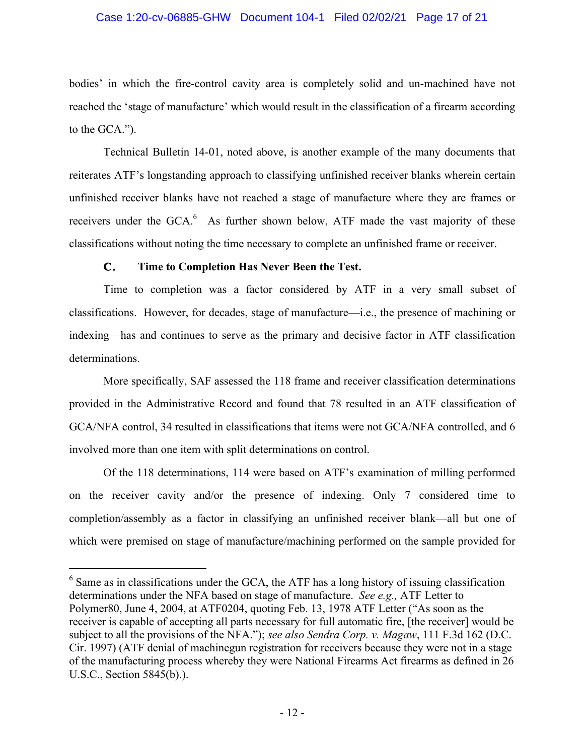#### Case 1:20-cv-06885-GHW Document 104-1 Filed 02/02/21 Page 17 of 21

bodies' in which the fire-control cavity area is completely solid and un-machined have not reached the 'stage of manufacture' which would result in the classification of a firearm according to the GCA.").

Technical Bulletin 14-01, noted above, is another example of the many documents that reiterates ATF's longstanding approach to classifying unfinished receiver blanks wherein certain unfinished receiver blanks have not reached a stage of manufacture where they are frames or receivers under the GCA.<sup>6</sup> As further shown below, ATF made the vast majority of these classifications without noting the time necessary to complete an unfinished frame or receiver.

## **C. Time to Completion Has Never Been the Test.**

 $\overline{a}$ 

Time to completion was a factor considered by ATF in a very small subset of classifications. However, for decades, stage of manufacture—i.e., the presence of machining or indexing—has and continues to serve as the primary and decisive factor in ATF classification determinations.

More specifically, SAF assessed the 118 frame and receiver classification determinations provided in the Administrative Record and found that 78 resulted in an ATF classification of GCA/NFA control, 34 resulted in classifications that items were not GCA/NFA controlled, and 6 involved more than one item with split determinations on control.

Of the 118 determinations, 114 were based on ATF's examination of milling performed on the receiver cavity and/or the presence of indexing. Only 7 considered time to completion/assembly as a factor in classifying an unfinished receiver blank—all but one of which were premised on stage of manufacture/machining performed on the sample provided for

 $6$  Same as in classifications under the GCA, the ATF has a long history of issuing classification determinations under the NFA based on stage of manufacture. *See e.g.,* ATF Letter to Polymer80, June 4, 2004, at ATF0204, quoting Feb. 13, 1978 ATF Letter ("As soon as the receiver is capable of accepting all parts necessary for full automatic fire, [the receiver] would be subject to all the provisions of the NFA."); *see also Sendra Corp. v. Magaw*, 111 F.3d 162 (D.C. Cir. 1997) (ATF denial of machinegun registration for receivers because they were not in a stage of the manufacturing process whereby they were National Firearms Act firearms as defined in 26 U.S.C., Section 5845(b).).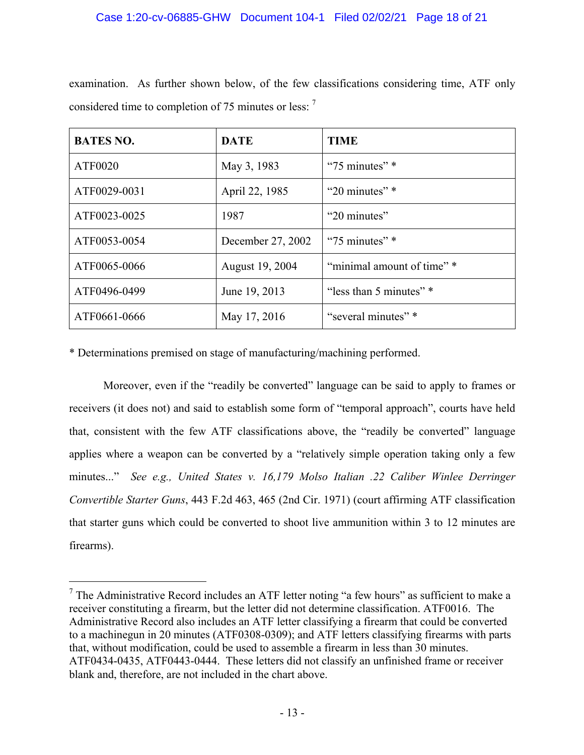| <b>BATES NO.</b> | <b>DATE</b>       | <b>TIME</b>                |
|------------------|-------------------|----------------------------|
| ATF0020          | May 3, 1983       | " $75$ minutes" $*$        |
| ATF0029-0031     | April 22, 1985    | "20 minutes" $*$           |
| ATF0023-0025     | 1987              | "20 minutes"               |
| ATF0053-0054     | December 27, 2002 | " $75$ minutes" $*$        |
| ATF0065-0066     | August 19, 2004   | "minimal amount of time" * |
| ATF0496-0499     | June 19, 2013     | "less than 5 minutes" *    |
| ATF0661-0666     | May 17, 2016      | "several minutes" *        |

examination. As further shown below, of the few classifications considering time, ATF only considered time to completion of 75 minutes or less: <sup>7</sup>

\* Determinations premised on stage of manufacturing/machining performed.

 $\overline{a}$ 

Moreover, even if the "readily be converted" language can be said to apply to frames or receivers (it does not) and said to establish some form of "temporal approach", courts have held that, consistent with the few ATF classifications above, the "readily be converted" language applies where a weapon can be converted by a "relatively simple operation taking only a few minutes..." *See e.g., United States v. 16,179 Molso Italian .22 Caliber Winlee Derringer Convertible Starter Guns*, 443 F.2d 463, 465 (2nd Cir. 1971) (court affirming ATF classification that starter guns which could be converted to shoot live ammunition within 3 to 12 minutes are firearms).

 $<sup>7</sup>$  The Administrative Record includes an ATF letter noting "a few hours" as sufficient to make a</sup> receiver constituting a firearm, but the letter did not determine classification. ATF0016. The Administrative Record also includes an ATF letter classifying a firearm that could be converted to a machinegun in 20 minutes (ATF0308-0309); and ATF letters classifying firearms with parts that, without modification, could be used to assemble a firearm in less than 30 minutes. ATF0434-0435, ATF0443-0444. These letters did not classify an unfinished frame or receiver blank and, therefore, are not included in the chart above.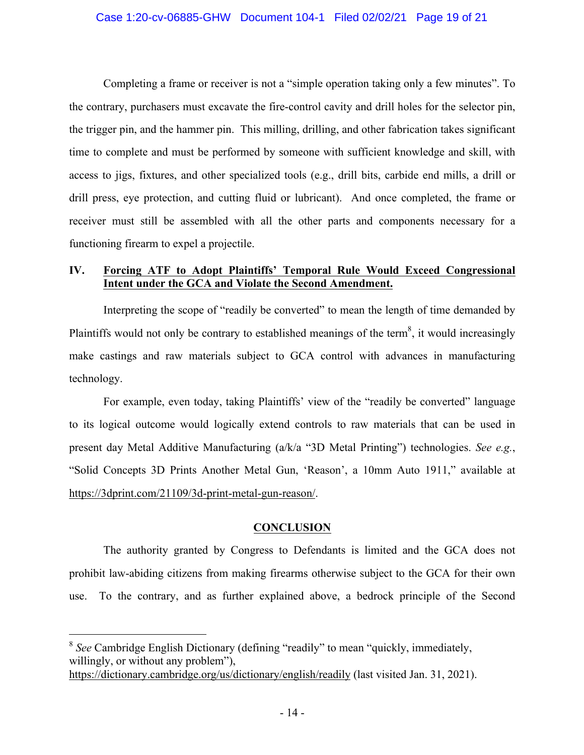#### Case 1:20-cv-06885-GHW Document 104-1 Filed 02/02/21 Page 19 of 21

Completing a frame or receiver is not a "simple operation taking only a few minutes". To the contrary, purchasers must excavate the fire-control cavity and drill holes for the selector pin, the trigger pin, and the hammer pin. This milling, drilling, and other fabrication takes significant time to complete and must be performed by someone with sufficient knowledge and skill, with access to jigs, fixtures, and other specialized tools (e.g., drill bits, carbide end mills, a drill or drill press, eye protection, and cutting fluid or lubricant). And once completed, the frame or receiver must still be assembled with all the other parts and components necessary for a functioning firearm to expel a projectile.

## **IV. Forcing ATF to Adopt Plaintiffs' Temporal Rule Would Exceed Congressional Intent under the GCA and Violate the Second Amendment.**

Interpreting the scope of "readily be converted" to mean the length of time demanded by Plaintiffs would not only be contrary to established meanings of the term<sup>8</sup>, it would increasingly make castings and raw materials subject to GCA control with advances in manufacturing technology.

For example, even today, taking Plaintiffs' view of the "readily be converted" language to its logical outcome would logically extend controls to raw materials that can be used in present day Metal Additive Manufacturing (a/k/a "3D Metal Printing") technologies. *See e.g.*, "Solid Concepts 3D Prints Another Metal Gun, 'Reason', a 10mm Auto 1911," available at https://3dprint.com/21109/3d-print-metal-gun-reason/.

#### **CONCLUSION**

The authority granted by Congress to Defendants is limited and the GCA does not prohibit law-abiding citizens from making firearms otherwise subject to the GCA for their own use. To the contrary, and as further explained above, a bedrock principle of the Second

 $\overline{a}$ 

<sup>8</sup> *See* Cambridge English Dictionary (defining "readily" to mean "quickly, immediately, willingly, or without any problem"), https://dictionary.cambridge.org/us/dictionary/english/readily (last visited Jan. 31, 2021).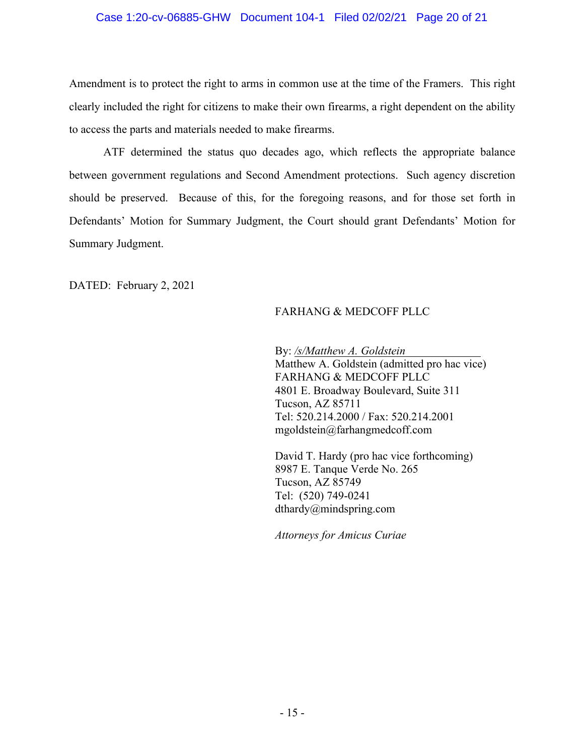#### Case 1:20-cv-06885-GHW Document 104-1 Filed 02/02/21 Page 20 of 21

Amendment is to protect the right to arms in common use at the time of the Framers. This right clearly included the right for citizens to make their own firearms, a right dependent on the ability to access the parts and materials needed to make firearms.

ATF determined the status quo decades ago, which reflects the appropriate balance between government regulations and Second Amendment protections. Such agency discretion should be preserved. Because of this, for the foregoing reasons, and for those set forth in Defendants' Motion for Summary Judgment, the Court should grant Defendants' Motion for Summary Judgment.

DATED: February 2, 2021

## FARHANG & MEDCOFF PLLC

By: */s/Matthew A. Goldstein* Matthew A. Goldstein (admitted pro hac vice) FARHANG & MEDCOFF PLLC 4801 E. Broadway Boulevard, Suite 311 Tucson, AZ 85711 Tel: 520.214.2000 / Fax: 520.214.2001 mgoldstein@farhangmedcoff.com

David T. Hardy (pro hac vice forthcoming) 8987 E. Tanque Verde No. 265 Tucson, AZ 85749 Tel: (520) 749-0241 dthardy@mindspring.com

*Attorneys for Amicus Curiae*